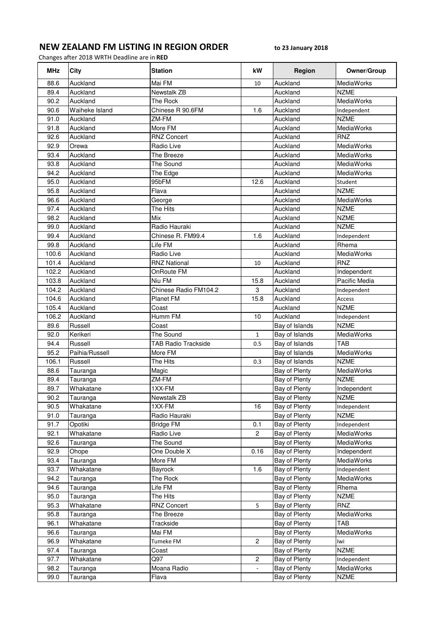## NEW ZEALAND FM LISTING IN REGION ORDER to 23 January 2018

Changes after 2018 WRTH Deadline are in RED

| <b>MHz</b> | City           | <b>Station</b>             | kW               | Region         | Owner/Group       |
|------------|----------------|----------------------------|------------------|----------------|-------------------|
| 88.6       | Auckland       | Mai FM                     | 10               | Auckland       | MediaWorks        |
| 89.4       | Auckland       | Newstalk ZB                |                  | Auckland       | <b>NZME</b>       |
| 90.2       | Auckland       | The Rock                   |                  | Auckland       | MediaWorks        |
| 90.6       | Waiheke Island | Chinese R 90.6FM           | 1.6              | Auckland       | Independent       |
| 91.0       | Auckland       | ZM-FM                      |                  | Auckland       | <b>NZME</b>       |
| 91.8       | Auckland       | More FM                    |                  | Auckland       | MediaWorks        |
| 92.6       | Auckland       | <b>RNZ Concert</b>         |                  | Auckland       | <b>RNZ</b>        |
| 92.9       | Orewa          | Radio Live                 |                  | Auckland       | MediaWorks        |
| 93.4       | Auckland       | The Breeze                 |                  | Auckland       | MediaWorks        |
| 93.8       | Auckland       | The Sound                  |                  | Auckland       | MediaWorks        |
| 94.2       | Auckland       | The Edge                   |                  | Auckland       | MediaWorks        |
| 95.0       | Auckland       | 95bFM                      | 12.6             | Auckland       | Student           |
| 95.8       | Auckland       | Flava                      |                  | Auckland       | <b>NZME</b>       |
| 96.6       | Auckland       | George                     |                  | Auckland       | MediaWorks        |
| 97.4       | Auckland       | The Hits                   |                  | Auckland       | <b>NZME</b>       |
| 98.2       | Auckland       | Mix                        |                  | Auckland       | <b>NZME</b>       |
| 99.0       | Auckland       | Radio Hauraki              |                  | Auckland       | <b>NZME</b>       |
| 99.4       | Auckland       | Chinese R. FM99.4          | 1.6              | Auckland       | Independent       |
| 99.8       | Auckland       | Life FM                    |                  | Auckland       | Rhema             |
| 100.6      | Auckland       | Radio Live                 |                  | Auckland       | MediaWorks        |
| 101.4      | Auckland       | <b>RNZ National</b>        | 10               | Auckland       | <b>RNZ</b>        |
| 102.2      | Auckland       | OnRoute FM                 |                  | Auckland       | Independent       |
| 103.8      | Auckland       | Niu FM                     | 15.8             | Auckland       | Pacific Media     |
| 104.2      | Auckland       | Chinese Radio FM104.2      | 3                | Auckland       | Independent       |
| 104.6      | Auckland       | Planet FM                  | 15.8             | Auckland       | Access            |
| 105.4      | Auckland       | Coast                      |                  | Auckland       | <b>NZME</b>       |
| 106.2      | Auckland       | Humm FM                    | 10               | Auckland       | Independent       |
| 89.6       | Russell        | Coast                      |                  | Bay of Islands | <b>NZME</b>       |
| 92.0       | Kerikeri       | The Sound                  | $\mathbf{1}$     | Bay of Islands | MediaWorks        |
| 94.4       | Russell        | <b>TAB Radio Trackside</b> | 0.5              | Bay of Islands | <b>TAB</b>        |
| 95.2       | Paihia/Russell | More FM                    |                  | Bay of Islands | MediaWorks        |
| 106.1      | Russell        | The Hits                   | 0.3              | Bay of Islands | <b>NZME</b>       |
| 88.6       | Tauranga       | Magic                      |                  | Bay of Plenty  | MediaWorks        |
| 89.4       | Tauranga       | ZM-FM                      |                  | Bay of Plenty  | <b>NZME</b>       |
| 89.7       | Whakatane      | 1XX-FM                     |                  | Bay of Plenty  | Independent       |
| 90.2       | Tauranga       | Newstalk ZB                |                  | Bay of Plenty  | <b>NZME</b>       |
| 90.5       | Whakatane      | 1XX-FM                     | 16               | Bay of Plenty  | Independent       |
| 91.0       | Tauranga       | Radio Hauraki              |                  | Bay of Plenty  | <b>NZME</b>       |
| 91.7       | Opotiki        | <b>Bridge FM</b>           | 0.1              | Bay of Plenty  | Independent       |
| 92.1       | Whakatane      | Radio Live                 | $\overline{c}$   | Bay of Plenty  | <b>MediaWorks</b> |
| 92.6       | Tauranga       | The Sound                  |                  | Bay of Plenty  | MediaWorks        |
| 92.9       | Ohope          | One Double X               | 0.16             | Bay of Plenty  | Independent       |
| 93.4       | Tauranga       | More FM                    |                  | Bay of Plenty  | MediaWorks        |
| 93.7       | Whakatane      | Bayrock                    | 1.6              | Bay of Plenty  | Independent       |
| 94.2       | Tauranga       | The Rock                   |                  | Bay of Plenty  | <b>MediaWorks</b> |
| 94.6       | Tauranga       | Life FM                    |                  | Bay of Plenty  | Rhema             |
| 95.0       | Tauranga       | The Hits                   |                  | Bay of Plenty  | <b>NZME</b>       |
| 95.3       | Whakatane      | <b>RNZ Concert</b>         | 5                | Bay of Plenty  | RNZ               |
| 95.8       | Tauranga       | The Breeze                 |                  | Bay of Plenty  | MediaWorks        |
| 96.1       | Whakatane      | Trackside                  |                  | Bay of Plenty  | TAB               |
| 96.6       | Tauranga       | Mai FM                     |                  | Bay of Plenty  | MediaWorks        |
| 96.9       | Whakatane      | Tumeke FM                  | $\overline{c}$   | Bay of Plenty  | lwi               |
| 97.4       | Tauranga       | Coast                      |                  | Bay of Plenty  | <b>NZME</b>       |
| 97.7       | Whakatane      | Q97                        | $\boldsymbol{2}$ | Bay of Plenty  | Independent       |
| 98.2       | Tauranga       | Moana Radio                |                  | Bay of Plenty  | MediaWorks        |
| 99.0       | Tauranga       | Flava                      |                  | Bay of Plenty  | <b>NZME</b>       |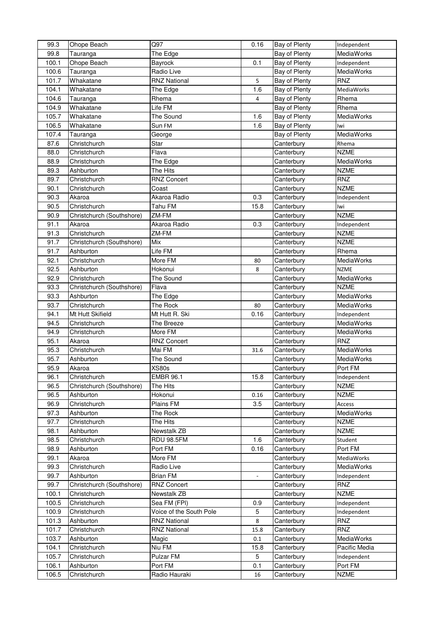| 99.3         | Ohope Beach                      | Q97                     | 0.16           | Bay of Plenty | Independent                |
|--------------|----------------------------------|-------------------------|----------------|---------------|----------------------------|
| 99.8         | Tauranga                         | The Edge                |                | Bay of Plenty | MediaWorks                 |
| 100.1        | Ohope Beach                      | Bayrock                 | 0.1            | Bay of Plenty | Independent                |
| 100.6        | Tauranga                         | Radio Live              |                | Bay of Plenty | MediaWorks                 |
| 101.7        | Whakatane                        | <b>RNZ National</b>     | 5              | Bay of Plenty | <b>RNZ</b>                 |
| 104.1        | Whakatane                        | The Edge                | 1.6            | Bay of Plenty | MediaWorks                 |
| 104.6        | Tauranga                         | Rhema                   | 4              | Bay of Plenty | Rhema                      |
| 104.9        | Whakatane                        | Life FM                 |                | Bay of Plenty | Rhema                      |
| 105.7        | Whakatane                        | The Sound               | 1.6            | Bay of Plenty | MediaWorks                 |
| 106.5        | Whakatane                        | Sun FM                  | 1.6            | Bay of Plenty | lwi                        |
| 107.4        | Tauranga                         | George                  |                | Bay of Plenty | MediaWorks                 |
| 87.6         | Christchurch                     | Star                    |                | Canterbury    | Rhema                      |
| 88.0         | Christchurch                     | Flava                   |                | Canterbury    | <b>NZME</b>                |
| 88.9         | Christchurch                     | The Edge                |                | Canterbury    | MediaWorks                 |
| 89.3         | Ashburton                        | The Hits                |                | Canterbury    | <b>NZME</b>                |
| 89.7         | Christchurch                     | <b>RNZ Concert</b>      |                | Canterbury    | RNZ                        |
| 90.1         | Christchurch                     | Coast                   |                | Canterbury    | <b>NZME</b>                |
| 90.3         | Akaroa                           | Akaroa Radio            | 0.3            | Canterbury    | Independent                |
| 90.5         | Christchurch                     | Tahu FM                 | 15.8           | Canterbury    | Iwi                        |
| 90.9         | Christchurch (Southshore)        | ZM-FM                   |                | Canterbury    | <b>NZME</b>                |
| 91.1         | Akaroa                           | Akaroa Radio            | 0.3            | Canterbury    | Independent                |
| 91.3         | Christchurch                     | ZM-FM                   |                | Canterbury    | <b>NZME</b>                |
| 91.7         | Christchurch (Southshore)        | Mix                     |                | Canterbury    | <b>NZME</b>                |
| 91.7         | Ashburton                        | Life FM                 |                | Canterbury    | Rhema                      |
| 92.1         | Christchurch                     | More FM                 | 80             | Canterbury    | MediaWorks                 |
| 92.5         | Ashburton                        | Hokonui                 | 8              | Canterbury    | <b>NZME</b>                |
| 92.9         | Christchurch                     | The Sound               |                | Canterbury    | MediaWorks                 |
| 93.3         | Christchurch (Southshore)        | Flava                   |                | Canterbury    | <b>NZME</b>                |
| 93.3         | Ashburton                        |                         |                | Canterbury    | MediaWorks                 |
| 93.7         |                                  | The Edge<br>The Rock    |                |               | MediaWorks                 |
| 94.1         | Christchurch<br>Mt Hutt Skifield | Mt Hutt R. Ski          | 80             | Canterbury    |                            |
|              |                                  |                         | 0.16           | Canterbury    | Independent                |
| 94.5         | Christchurch                     | The Breeze              |                | Canterbury    | MediaWorks                 |
| 94.9         | Christchurch                     | More FM                 |                | Canterbury    | MediaWorks                 |
| 95.1         | Akaroa                           | <b>RNZ Concert</b>      |                | Canterbury    | <b>RNZ</b>                 |
| 95.3         | Christchurch                     | Mai FM                  | 31.6           | Canterbury    | MediaWorks<br>MediaWorks   |
| 95.7         | Ashburton                        | The Sound               |                | Canterbury    |                            |
| 95.9         | Akaroa                           | <b>XS80s</b>            |                | Canterbury    | Port FM                    |
| 96.1         | Christchurch                     | <b>EMBR 96.1</b>        | 15.8           | Canterbury    | Independent                |
| 96.5         | Christchurch (Southshore)        | The Hits                |                | Canterbury    | <b>NZME</b><br><b>NZME</b> |
| 96.5         | Ashburton                        | Hokonui                 | 0.16           | Canterbury    |                            |
| 96.9         | Christchurch                     | Plains FM               | 3.5            | Canterbury    | Access                     |
| 97.3         | Ashburton                        | The Rock                |                | Canterbury    | MediaWorks                 |
| 97.7         | Christchurch                     | The Hits                |                | Canterbury    | <b>NZME</b>                |
| 98.1         | Ashburton                        | Newstalk ZB             |                | Canterbury    | <b>NZME</b>                |
| 98.5         | Christchurch                     | <b>RDU 98.5FM</b>       | 1.6            | Canterbury    | Student                    |
| 98.9<br>99.1 | Ashburton                        | Port FM<br>More FM      | 0.16           | Canterbury    | Port FM                    |
|              | Akaroa                           |                         |                | Canterbury    | MediaWorks                 |
| 99.3         | Christchurch                     | Radio Live              |                | Canterbury    | MediaWorks                 |
| 99.7         | Ashburton                        | <b>Brian FM</b>         | $\blacksquare$ | Canterbury    | Independent                |
| 99.7         | Christchurch (Southshore)        | <b>RNZ Concert</b>      |                | Canterbury    | RNZ                        |
| 100.1        | Christchurch                     | Newstalk ZB             |                | Canterbury    | <b>NZME</b>                |
| 100.5        | Christchurch                     | Sea FM (FPI)            | 0.9            | Canterbury    | Independent                |
| 100.9        | Christchurch                     | Voice of the South Pole | 5              | Canterbury    | Independent                |
| 101.3        | Ashburton                        | <b>RNZ National</b>     | 8              | Canterbury    | <b>RNZ</b>                 |
| 101.7        | Christchurch                     | <b>RNZ National</b>     | 15.8           | Canterbury    | <b>RNZ</b>                 |
| 103.7        | Ashburton                        | Magic                   | 0.1            | Canterbury    | MediaWorks                 |
| 104.1        | Christchurch                     | Niu FM                  | 15.8           | Canterbury    | Pacific Media              |
| 105.7        | Christchurch                     | Pulzar FM               | 5              | Canterbury    | Independent                |
| 106.1        | Ashburton                        | Port FM                 | 0.1            | Canterbury    | Port FM                    |
| 106.5        | Christchurch                     | Radio Hauraki           | 16             | Canterbury    | <b>NZME</b>                |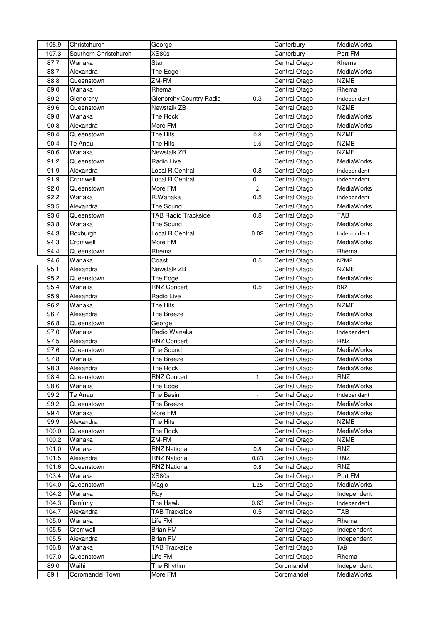| 106.9          | Christchurch          | George                                                |                          | Canterbury                     | MediaWorks                |
|----------------|-----------------------|-------------------------------------------------------|--------------------------|--------------------------------|---------------------------|
| 107.3          | Southern Christchurch | <b>XS80s</b>                                          |                          | Canterbury                     | Port FM                   |
| 87.7           | Wanaka                | Star                                                  |                          | Central Otago                  | Rhema                     |
| 88.7           | Alexandra             | The Edge                                              |                          | Central Otago                  | MediaWorks                |
| 88.8           | Queenstown            | ZM-FM                                                 |                          | Central Otago                  | <b>NZME</b>               |
| 89.0           | Wanaka                | Rhema                                                 |                          | Central Otago                  | Rhema                     |
| 89.2           | Glenorchy             | <b>Glenorchy Country Radio</b>                        | 0.3                      | Central Otago                  | Independent               |
| 89.6           | Queenstown            | <b>Newstalk ZB</b>                                    |                          | Central Otago                  | <b>NZME</b>               |
| 89.8           | Wanaka                | The Rock                                              |                          | Central Otago                  | MediaWorks                |
| 90.3           | Alexandra             | More FM                                               |                          | Central Otago                  | MediaWorks                |
| 90.4           | Queenstown            | The Hits                                              | 0.8                      | Central Otago                  | <b>NZME</b>               |
| 90.4           | Te Anau               | The Hits                                              | 1.6                      | Central Otago                  | <b>NZME</b>               |
| 90.6           | Wanaka                | Newstalk ZB                                           |                          | Central Otago                  | <b>NZME</b>               |
| 91.2           | Queenstown            | Radio Live                                            |                          | Central Otago                  | MediaWorks                |
| 91.9           | Alexandra             | Local R.Central                                       | 0.8                      | Central Otago                  | Independent               |
| 91.9           | Cromwell              | Local R.Central                                       | 0.1                      | Central Otago                  | Independent               |
| 92.0           | Queenstown            | More FM                                               | $\overline{2}$           | Central Otago                  | MediaWorks                |
| 92.2           | Wanaka                | R.Wanaka                                              | 0.5                      | Central Otago                  | Independent               |
| 93.5           | Alexandra             | The Sound                                             |                          | Central Otago                  | MediaWorks                |
| 93.6           | Queenstown            | <b>TAB Radio Trackside</b>                            | 0.8                      | Central Otago                  | <b>TAB</b>                |
| 93.8           | Wanaka                | The Sound                                             |                          | Central Otago                  | MediaWorks                |
| 94.3           | Roxburgh              | Local R.Central                                       | 0.02                     | Central Otago                  | Independent               |
| 94.3           | Cromwell              | More FM                                               |                          | Central Otago                  | MediaWorks                |
| 94.4           | Queenstown            | Rhema                                                 |                          | Central Otago                  | Rhema                     |
| 94.6           | Wanaka                | Coast                                                 | 0.5                      | Central Otago                  | <b>NZME</b>               |
| 95.1           | Alexandra             | Newstalk ZB                                           |                          | Central Otago                  | <b>NZME</b>               |
| 95.2           | Queenstown            | The Edge                                              |                          | Central Otago                  | MediaWorks                |
| 95.4           | Wanaka                | <b>RNZ Concert</b>                                    | 0.5                      | Central Otago                  | <b>RNZ</b>                |
| 95.9           | Alexandra             | Radio Live                                            |                          | Central Otago                  | MediaWorks                |
| 96.2           |                       | The Hits                                              |                          |                                | <b>NZME</b>               |
| 96.7           | Wanaka<br>Alexandra   | The Breeze                                            |                          | Central Otago                  | MediaWorks                |
| 96.8           | Queenstown            |                                                       |                          | Central Otago<br>Central Otago | <b>MediaWorks</b>         |
| 97.0           | Wanaka                | George<br>Radio Wanaka                                |                          |                                |                           |
| 97.5           | Alexandra             | <b>RNZ Concert</b>                                    |                          | Central Otago                  | Independent<br><b>RNZ</b> |
|                |                       | The Sound                                             |                          | Central Otago<br>Central Otago | MediaWorks                |
| 97.6<br>97.8   | Queenstown<br>Wanaka  | The Breeze                                            |                          |                                | MediaWorks                |
| 98.3           | Alexandra             | The Rock                                              |                          | Central Otago                  | MediaWorks                |
| 98.4           |                       |                                                       |                          | Central Otago<br>Central Otago | <b>RNZ</b>                |
| 98.6           | Queenstown            | <b>RNZ Concert</b>                                    | $\mathbf{1}$             |                                | MediaWorks                |
| 99.2           | Wanaka<br>Te Anau     | The Edge<br>The Basin                                 |                          | Central Otago<br>Central Otago |                           |
| 99.2           |                       | The Breeze                                            |                          |                                | Independent<br>MediaWorks |
| 99.4           | Queenstown<br>Wanaka  | More FM                                               |                          | Central Otago<br>Central Otago | MediaWorks                |
| 99.9           |                       | The Hits                                              |                          | Central Otago                  | <b>NZME</b>               |
|                | Alexandra             |                                                       |                          |                                |                           |
| 100.0<br>100.2 | Queenstown<br>Wanaka  | The Rock<br>ZM-FM                                     |                          | Central Otago<br>Central Otago | MediaWorks<br><b>NZME</b> |
|                |                       |                                                       |                          |                                |                           |
| 101.0<br>101.5 | Wanaka<br>Alexandra   | <b>RNZ National</b><br><b>RNZ National</b>            | 0.8                      | Central Otago<br>Central Otago | RNZ<br>RNZ                |
| 101.6          | Queenstown            | <b>RNZ National</b>                                   | 0.63                     | Central Otago                  | RNZ                       |
|                |                       |                                                       | 0.8                      |                                |                           |
| 103.4          | Wanaka                | <b>XS80s</b>                                          |                          | Central Otago                  | Port FM                   |
| 104.0<br>104.2 | Queenstown<br>Wanaka  | Magic<br>Roy                                          | 1.25                     | Central Otago<br>Central Otago | MediaWorks<br>Independent |
|                |                       | The Hawk                                              |                          |                                |                           |
| 104.3          | Ranfurly              |                                                       | 0.63                     | Central Otago                  | Independent<br><b>TAB</b> |
| 104.7          | Alexandra             | <b>TAB Trackside</b><br>$\overline{\mathsf{Life}}$ FM | 0.5                      | Central Otago                  |                           |
| 105.0          | Wanaka                |                                                       |                          | Central Otago                  | Rhema                     |
| 105.5          | Cromwell              | <b>Brian FM</b>                                       |                          | Central Otago                  | Independent               |
| 105.5          | Alexandra             | <b>Brian FM</b>                                       |                          | Central Otago                  | Independent               |
| 106.8          | Wanaka                | <b>TAB Trackside</b>                                  |                          | Central Otago                  | TAB                       |
| 107.0          | Queenstown            | Life FM                                               | $\overline{\phantom{a}}$ | Central Otago                  | Rhema                     |
| 89.0           | Waihi                 | The Rhythm                                            |                          | Coromandel                     | Independent               |
| 89.1           | Coromandel Town       | More FM                                               |                          | Coromandel                     | MediaWorks                |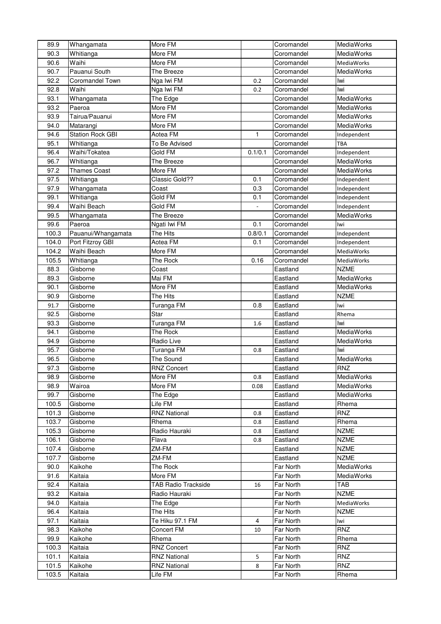| 89.9  | Whangamata          | More FM                    |                | Coromandel | MediaWorks        |
|-------|---------------------|----------------------------|----------------|------------|-------------------|
| 90.3  | Whitianga           | More FM                    |                | Coromandel | MediaWorks        |
| 90.6  | Waihi               | More FM                    |                | Coromandel | <b>MediaWorks</b> |
| 90.7  | Pauanui South       | The Breeze                 |                | Coromandel | MediaWorks        |
| 92.2  | Coromandel Town     | Nga Iwi FM                 | 0.2            | Coromandel | lwi               |
| 92.8  | Waihi               | Nga Iwi FM                 | 0.2            | Coromandel | lwi               |
| 93.1  | Whangamata          | The Edge                   |                | Coromandel | MediaWorks        |
| 93.2  | Paeroa              | More FM                    |                | Coromandel | MediaWorks        |
| 93.9  | Tairua/Pauanui      | More FM                    |                | Coromandel | MediaWorks        |
| 94.0  | Matarangi           | More FM                    |                | Coromandel | MediaWorks        |
| 94.6  | Station Rock GBI    | Aotea FM                   | 1              | Coromandel | Independent       |
| 95.1  | Whitianga           | To Be Advised              |                | Coromandel | TBA               |
| 96.4  | Waihi/Tokatea       | Gold FM                    | 0.1/0.1        | Coromandel | Independent       |
| 96.7  | Whitianga           | The Breeze                 |                | Coromandel | MediaWorks        |
| 97.2  | <b>Thames Coast</b> | More FM                    |                | Coromandel | MediaWorks        |
| 97.5  | Whitianga           | Classic Gold??             | 0.1            | Coromandel | Independent       |
| 97.9  | Whangamata          | Coast                      | 0.3            | Coromandel | Independent       |
| 99.1  | Whitianga           | Gold FM                    | 0.1            | Coromandel | Independent       |
| 99.4  | Waihi Beach         | Gold FM                    |                | Coromandel | Independent       |
| 99.5  | Whangamata          | The Breeze                 |                | Coromandel | MediaWorks        |
| 99.6  | Paeroa              | Ngati Iwi FM               | 0.1            | Coromandel | lwi               |
| 100.3 | Pauanui/Whangamata  | The Hits                   |                | Coromandel |                   |
| 104.0 | Port Fitzroy GBI    | Aotea FM                   | 0.8/0.1<br>0.1 | Coromandel | Independent       |
|       |                     |                            |                |            | Independent       |
| 104.2 | Waihi Beach         | More FM                    |                | Coromandel | MediaWorks        |
| 105.5 | Whitianga           | The Rock                   | 0.16           | Coromandel | MediaWorks        |
| 88.3  | Gisborne            | Coast                      |                | Eastland   | <b>NZME</b>       |
| 89.3  | Gisborne            | Mai FM                     |                | Eastland   | MediaWorks        |
| 90.1  | Gisborne            | More FM                    |                | Eastland   | MediaWorks        |
| 90.9  | Gisborne            | The Hits                   |                | Eastland   | <b>NZME</b>       |
| 91.7  | Gisborne            | Turanga FM                 | 0.8            | Eastland   | Iwi               |
| 92.5  | Gisborne            | Star                       |                | Eastland   | Rhema             |
|       |                     |                            |                |            |                   |
| 93.3  | Gisborne            | Turanga FM                 | 1.6            | Eastland   | Iwi               |
| 94.1  | Gisborne            | The Rock                   |                | Eastland   | MediaWorks        |
| 94.9  | Gisborne            | Radio Live                 |                | Eastland   | MediaWorks        |
| 95.7  | Gisborne            | Turanga FM                 | 0.8            | Eastland   | lwi               |
| 96.5  | Gisborne            | The Sound                  |                | Eastland   | MediaWorks        |
| 97.3  | Gisborne            | <b>RNZ Concert</b>         |                | Eastland   | <b>RNZ</b>        |
| 98.9  | Gisborne            | More FM                    | 0.8            | Eastland   | MediaWorks        |
| 98.9  | Wairoa              | More FM                    | 0.08           | Eastland   | <b>MediaWorks</b> |
| 99.7  | Gisborne            | The Edge                   |                | Eastland   | MediaWorks        |
| 100.5 | Gisborne            | Life FM                    |                | Eastland   | Rhema             |
| 101.3 | Gisborne            | <b>RNZ National</b>        | 0.8            | Eastland   | <b>RNZ</b>        |
| 103.7 | Gisborne            | Rhema                      | 0.8            | Eastland   | Rhema             |
| 105.3 | Gisborne            | Radio Hauraki              | 0.8            | Eastland   | <b>NZME</b>       |
| 106.1 | Gisborne            | Flava                      | 0.8            | Eastland   | <b>NZME</b>       |
| 107.4 | Gisborne            | ZM-FM                      |                | Eastland   | <b>NZME</b>       |
| 107.7 | Gisborne            | ZM-FM                      |                | Eastland   | <b>NZME</b>       |
| 90.0  | Kaikohe             | The Rock                   |                | Far North  | MediaWorks        |
| 91.6  | Kaitaia             | More FM                    |                | Far North  | MediaWorks        |
| 92.4  | Kaitaia             | <b>TAB Radio Trackside</b> | 16             | Far North  | TAB               |
| 93.2  | Kaitaia             | Radio Hauraki              |                | Far North  | <b>NZME</b>       |
| 94.0  | Kaitaia             | The Edge                   |                | Far North  | MediaWorks        |
| 96.4  | Kaitaia             | The Hits                   |                | Far North  | <b>NZME</b>       |
| 97.1  | Kaitaia             | Te Hiku 97.1 FM            | $\overline{4}$ | Far North  | Iwi               |
| 98.3  | Kaikohe             | Concert FM                 | 10             | Far North  | RNZ               |
| 99.9  | Kaikohe             | Rhema                      |                | Far North  | Rhema             |
| 100.3 | Kaitaia             | <b>RNZ Concert</b>         |                | Far North  | RNZ               |
| 101.1 | Kaitaia             | <b>RNZ National</b>        | 5              | Far North  | RNZ               |
| 101.5 | Kaikohe             | <b>RNZ National</b>        | 8              | Far North  | RNZ               |
| 103.5 | Kaitaia             | Life FM                    |                | Far North  | Rhema             |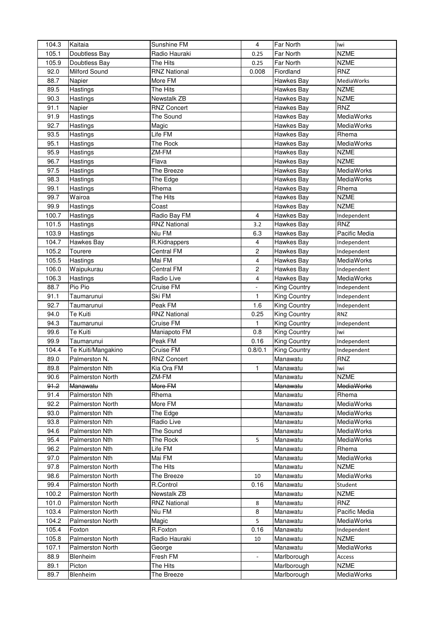| 104.3 | Kaitaia                 | Sunshine FM         | 4              | Far North           | Iwi               |
|-------|-------------------------|---------------------|----------------|---------------------|-------------------|
| 105.1 | Doubtless Bay           | Radio Hauraki       | 0.25           | Far North           | <b>NZME</b>       |
| 105.9 | Doubtless Bay           | The Hits            | 0.25           | Far North           | <b>NZME</b>       |
| 92.0  | Milford Sound           | <b>RNZ National</b> | 0.008          | Fiordland           | <b>RNZ</b>        |
| 88.7  | Napier                  | More FM             |                | Hawkes Bay          | MediaWorks        |
| 89.5  | Hastings                | The Hits            |                | Hawkes Bay          | <b>NZME</b>       |
| 90.3  | Hastings                | Newstalk ZB         |                | Hawkes Bay          | <b>NZME</b>       |
| 91.1  | Napier                  | <b>RNZ Concert</b>  |                | Hawkes Bay          | <b>RNZ</b>        |
| 91.9  | Hastings                | The Sound           |                | Hawkes Bay          | MediaWorks        |
| 92.7  | Hastings                | Magic               |                | Hawkes Bay          | MediaWorks        |
| 93.5  | Hastings                | Life FM             |                | Hawkes Bay          | Rhema             |
| 95.1  | Hastings                | The Rock            |                | Hawkes Bay          | MediaWorks        |
| 95.9  | Hastings                | ZM-FM               |                | Hawkes Bay          | <b>NZME</b>       |
| 96.7  | Hastings                | Flava               |                | Hawkes Bay          | <b>NZME</b>       |
| 97.5  | Hastings                | The Breeze          |                | Hawkes Bay          | MediaWorks        |
| 98.3  | Hastings                | The Edge            |                | Hawkes Bay          | MediaWorks        |
| 99.1  | Hastings                | Rhema               |                | Hawkes Bay          | Rhema             |
| 99.7  | Wairoa                  | The Hits            |                | Hawkes Bay          | <b>NZME</b>       |
| 99.9  |                         | Coast               |                | Hawkes Bay          | <b>NZME</b>       |
| 100.7 | Hastings<br>Hastings    | Radio Bay FM        | $\overline{4}$ | Hawkes Bay          | Independent       |
|       |                         | <b>RNZ National</b> |                |                     |                   |
| 101.5 | Hastings                |                     | 3.2            | Hawkes Bay          | <b>RNZ</b>        |
| 103.9 | Hastings                | Niu FM              | 6.3            | Hawkes Bay          | Pacific Media     |
| 104.7 | Hawkes Bay              | R.Kidnappers        | 4              | Hawkes Bay          | Independent       |
| 105.2 | Tourere                 | <b>Central FM</b>   | $\overline{c}$ | Hawkes Bay          | Independent       |
| 105.5 | Hastings                | Mai FM              | 4              | Hawkes Bay          | <b>MediaWorks</b> |
| 106.0 | Waipukurau              | <b>Central FM</b>   | $\overline{c}$ | Hawkes Bay          | Independent       |
| 106.3 | Hastings                | Radio Live          | 4              | Hawkes Bay          | <b>MediaWorks</b> |
| 88.7  | Pio Pio                 | Cruise FM           |                | King Country        | Independent       |
| 91.1  | Taumarunui              | Ski FM              | $\mathbf{1}$   | <b>King Country</b> | Independent       |
| 92.7  | Taumarunui              | Peak FM             | 1.6            | <b>King Country</b> | Independent       |
| 94.0  | Te Kuiti                | <b>RNZ National</b> | 0.25           | King Country        | <b>RNZ</b>        |
| 94.3  | Taumarunui              | Cruise FM           | $\mathbf{1}$   | King Country        | Independent       |
| 99.6  | Te Kuiti                | Maniapoto FM        | 0.8            | King Country        | lwi               |
| 99.9  | Taumarunui              | Peak FM             | 0.16           | <b>King Country</b> | Independent       |
| 104.4 | Te Kuiti/Mangakino      | Cruise FM           | 0.8/0.1        | King Country        | Independent       |
| 89.0  | Palmerston N.           | <b>RNZ Concert</b>  |                | Manawatu            | RNZ               |
| 89.8  | <b>Palmerston Nth</b>   | Kia Ora FM          | 1              | Manawatu            | Iwi               |
| 90.6  | <b>Palmerston North</b> | ZM-FM               |                | Manawatu            | <b>NZME</b>       |
| 91.2  | Manawatu                | More FM             |                | Manawatu            | <b>MediaWorks</b> |
| 91.4  | Palmerston Nth          | Rhema               |                | Manawatu            | Rhema             |
| 92.2  | Palmerston North        | More FM             |                | Manawatu            | MediaWorks        |
| 93.0  | Palmerston Nth          | The Edge            |                | Manawatu            | MediaWorks        |
| 93.8  | Palmerston Nth          | Radio Live          |                | Manawatu            | MediaWorks        |
| 94.6  | Palmerston Nth          | The Sound           |                | Manawatu            | MediaWorks        |
| 95.4  | Palmerston Nth          | The Rock            | 5              | Manawatu            | <b>MediaWorks</b> |
| 96.2  | Palmerston Nth          | Life FM             |                | Manawatu            | Rhema             |
| 97.0  | Palmerston Nth          | Mai FM              |                | Manawatu            | MediaWorks        |
| 97.8  | <b>Palmerston North</b> | The Hits            |                | Manawatu            | <b>NZME</b>       |
| 98.6  |                         |                     |                |                     |                   |
|       | <b>Palmerston North</b> | The Breeze          | 10             | Manawatu            | <b>MediaWorks</b> |
| 99.4  | <b>Palmerston North</b> | R.Control           | 0.16           | Manawatu            | Student           |
| 100.2 | Palmerston North        | Newstalk ZB         |                | Manawatu            | <b>NZME</b>       |
| 101.0 | <b>Palmerston North</b> | <b>RNZ National</b> | 8              | Manawatu            | <b>RNZ</b>        |
| 103.4 | Palmerston North        | Niu FM              | 8              | Manawatu            | Pacific Media     |
| 104.2 | Palmerston North        | Magic               | 5              | Manawatu            | MediaWorks        |
| 105.4 | Foxton                  | R.Foxton            | 0.16           | Manawatu            | Independent       |
| 105.8 | Palmerston North        | Radio Hauraki       | 10             | Manawatu            | <b>NZME</b>       |
| 107.1 | Palmerston North        | George              |                | Manawatu            | MediaWorks        |
| 88.9  | Blenheim                | Fresh FM            | ÷.             | Marlborough         | Access            |
| 89.1  | Picton                  | The Hits            |                | Marlborough         | <b>NZME</b>       |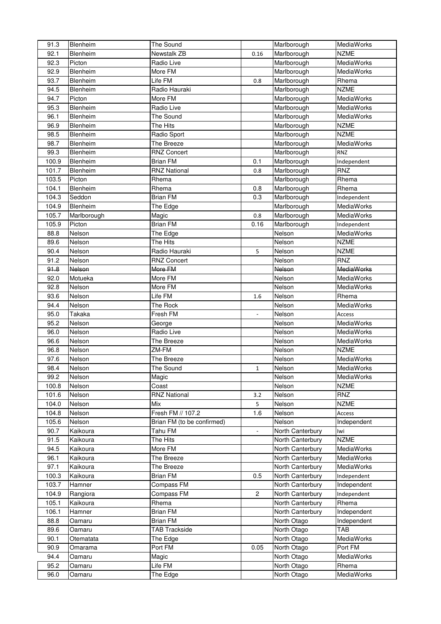| 91.3         | Blenheim         | The Sound                  |                         | Marlborough                | <b>MediaWorks</b>   |
|--------------|------------------|----------------------------|-------------------------|----------------------------|---------------------|
| 92.1         | Blenheim         | Newstalk ZB                | 0.16                    | Marlborough                | <b>NZME</b>         |
| 92.3         | Picton           | Radio Live                 |                         | Marlborough                | MediaWorks          |
| 92.9         | Blenheim         | More FM                    |                         | Marlborough                | MediaWorks          |
| 93.7         | Blenheim         | Life FM                    | 0.8                     | Marlborough                | Rhema               |
| 94.5         | Blenheim         | Radio Hauraki              |                         | Marlborough                | <b>NZME</b>         |
| 94.7         | Picton           | More FM                    |                         | Marlborough                | MediaWorks          |
| 95.3         | Blenheim         | Radio Live                 |                         | Marlborough                | MediaWorks          |
| 96.1         | Blenheim         | The Sound                  |                         | Marlborough                | MediaWorks          |
| 96.9         | Blenheim         | The Hits                   |                         | Marlborough                | <b>NZME</b>         |
| 98.5         | Blenheim         | Radio Sport                |                         | Marlborough                | <b>NZME</b>         |
| 98.7         | Blenheim         | The Breeze                 |                         | Marlborough                | MediaWorks          |
| 99.3         | Blenheim         | <b>RNZ Concert</b>         |                         | Marlborough                | <b>RNZ</b>          |
| 100.9        | Blenheim         | <b>Brian FM</b>            | 0.1                     | Marlborough                | Independent         |
| 101.7        | Blenheim         | <b>RNZ National</b>        | 0.8                     | Marlborough                | RNZ                 |
| 103.5        | Picton           | Rhema                      |                         | Marlborough                | Rhema               |
| 104.1        | Blenheim         | Rhema                      | 0.8                     | Marlborough                | Rhema               |
| 104.3        | Seddon           | <b>Brian FM</b>            | 0.3                     | Marlborough                | Independent         |
| 104.9        | Blenheim         | The Edge                   |                         | Marlborough                | MediaWorks          |
| 105.7        | Marlborough      | Magic                      | $0.8\,$                 | Marlborough                | MediaWorks          |
| 105.9        | Picton           | <b>Brian FM</b>            | 0.16                    | Marlborough                | Independent         |
| 88.8         | Nelson           | The Edge                   |                         | Nelson                     | MediaWorks          |
| 89.6         | Nelson           | The Hits                   |                         | Nelson                     | <b>NZME</b>         |
| 90.4         | Nelson           | Radio Hauraki              | 5                       | Nelson                     | <b>NZME</b>         |
| 91.2         | Nelson           | <b>RNZ Concert</b>         |                         | Nelson                     | RNZ                 |
| 91.8         | Nelson           | More FM                    |                         | Nelson                     | <b>MediaWorks</b>   |
| 92.0         | Motueka          | More FM                    |                         | Nelson                     | MediaWorks          |
| 92.8         | Nelson           | More FM                    |                         | Nelson                     | MediaWorks          |
| 93.6         | Nelson           | Life FM                    | 1.6                     | Nelson                     | Rhema               |
| 94.4         | Nelson           | The Rock                   |                         | Nelson                     | MediaWorks          |
| 95.0         | Takaka           | Fresh FM                   |                         | Nelson                     | Access              |
| 95.2         | Nelson           |                            |                         | Nelson                     | MediaWorks          |
| 96.0         |                  | George                     |                         |                            |                     |
|              |                  |                            |                         |                            |                     |
|              | Nelson           | Radio Live                 |                         | Nelson                     | MediaWorks          |
| 96.6         | Nelson           | The Breeze                 |                         | Nelson                     | MediaWorks          |
| 96.8         | Nelson           | ZM-FM                      |                         | Nelson                     | <b>NZME</b>         |
| 97.6         | Nelson           | The Breeze                 |                         | Nelson                     | MediaWorks          |
| 98.4         | Nelson           | The Sound                  | $\mathbf{1}$            | Nelson                     | MediaWorks          |
| 99.2         | Nelson           | Magic                      |                         | Nelson                     | MediaWorks          |
| 100.8        | Nelson           | Coast                      |                         | Nelson                     | <b>NZME</b>         |
| 101.6        | Nelson           | <b>RNZ National</b>        | 3.2                     | Nelson                     | <b>RNZ</b>          |
| 104.0        | Nelson           | Mix                        | 5                       | Nelson                     | <b>NZME</b>         |
| 104.8        | Nelson           | Fresh FM // 107.2          | 1.6                     | Nelson                     | Access              |
| 105.6        | Nelson           | Brian FM (to be confirmed) |                         | Nelson                     | Independent         |
| 90.7         | Kaikoura         | Tahu FM                    |                         | North Canterbury           | lwi                 |
| 91.5         | Kaikoura         | The Hits                   |                         | North Canterbury           | <b>NZME</b>         |
| 94.5         | Kaikoura         | More FM                    |                         | North Canterbury           | MediaWorks          |
| 96.1         | Kaikoura         | The Breeze                 |                         | North Canterbury           | MediaWorks          |
| 97.1         | Kaikoura         | The Breeze                 |                         | North Canterbury           | MediaWorks          |
| 100.3        | Kaikoura         | <b>Brian FM</b>            | 0.5                     | North Canterbury           | Independent         |
| 103.7        | Hamner           | Compass FM                 |                         | North Canterbury           | Independent         |
| 104.9        | Rangiora         | Compass FM                 | $\overline{\mathbf{c}}$ | North Canterbury           | Independent         |
| 105.1        | Kaikoura         | Rhema                      |                         | North Canterbury           | Rhema               |
| 106.1        | Hamner           | <b>Brian FM</b>            |                         | North Canterbury           | Independent         |
| 88.8         | Oamaru           | <b>Brian FM</b>            |                         | North Otago                | Independent         |
| 89.6         | Oamaru           | <b>TAB Trackside</b>       |                         | North Otago                | TAB                 |
| 90.1         | Otematata        | The Edge                   |                         | North Otago                | MediaWorks          |
| 90.9         | Omarama          | Port FM                    | 0.05                    | North Otago                | Port FM             |
| 94.4         | Oamaru           | Magic                      |                         | North Otago                | MediaWorks          |
| 95.2<br>96.0 | Oamaru<br>Oamaru | Life FM<br>The Edge        |                         | North Otago<br>North Otago | Rhema<br>MediaWorks |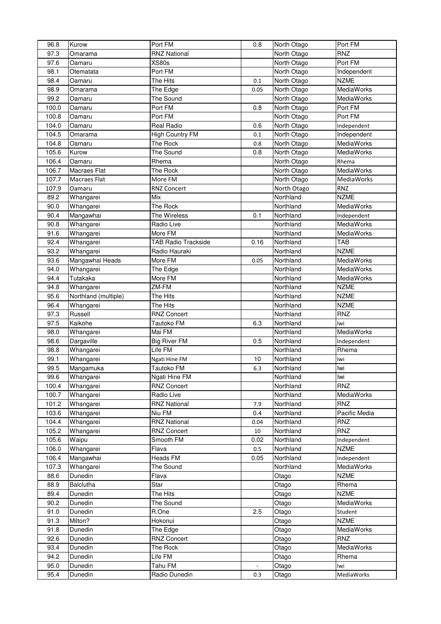| 96.8         | Kurow                | Port FM                        | 0.8                      | North Otago    | Port FM                  |
|--------------|----------------------|--------------------------------|--------------------------|----------------|--------------------------|
| 97.3         | Omarama              | <b>RNZ National</b>            |                          | North Otago    | <b>RNZ</b>               |
| 97.6         | Oamaru               | XS80s                          |                          | North Otago    | Port FM                  |
| 98.1         | Otematata            | Port FM                        |                          | North Otago    | Independent              |
| 98.4         | Oamaru               | The Hits                       | 0.1                      | North Otago    | <b>NZME</b>              |
| 98.9         | Omarama              | The Edge                       | 0.05                     | North Otago    | MediaWorks               |
| 99.2         | Oamaru               | The Sound                      |                          | North Otago    | MediaWorks               |
| 100.0        | Oamaru               | Port FM                        | 0.8                      | North Otago    | Port FM                  |
| 100.8        | Oamaru               | Port FM                        |                          | North Otago    | Port FM                  |
| 104.0        | Oamaru               | Real Radio                     | 0.6                      | North Otago    | Independent              |
| 104.5        | Omarama              | <b>High Country FM</b>         | 0.1                      | North Otago    | Independent              |
| 104.8        | Oamaru               | The Rock                       | 0.8                      | North Otago    | MediaWorks               |
| 105.6        | Kurow                | The Sound                      | 0.8                      | North Otago    | MediaWorks               |
| 106.4        | Oamaru               | Rhema                          |                          | North Otago    | Rhema                    |
| 106.7        | Macraes Flat         | The Rock                       |                          | North Otago    | MediaWorks               |
| 107.7        | Macraes Flat         | More FM                        |                          | North Otago    | MediaWorks               |
| 107.9        | Oamaru               | <b>RNZ Concert</b>             |                          | North Otago    | <b>RNZ</b>               |
| 89.2         | Whangarei            | Mix                            |                          | Northland      | <b>NZME</b>              |
| 90.0         | Whangarei            | The Rock                       |                          | Northland      | MediaWorks               |
| 90.4         | Mangawhai            | The Wireless                   | 0.1                      | Northland      | Independent              |
| 90.8         | Whangarei            | Radio Live                     |                          | Northland      | MediaWorks               |
| 91.6         | Whangarei            | More FM                        |                          | Northland      | MediaWorks               |
| 92.4         | Whangarei            | <b>TAB Radio Trackside</b>     | 0.16                     | Northland      | <b>TAB</b>               |
| 93.2         | Whangarei            | Radio Hauraki                  |                          | Northland      | <b>NZME</b>              |
| 93.6         | Mangawhai Heads      | More FM                        | 0.05                     | Northland      | MediaWorks               |
| 94.0         | Whangarei            | The Edge                       |                          | Northland      | <b>MediaWorks</b>        |
| 94.4         | Tutakaka             | More FM                        |                          | Northland      | <b>MediaWorks</b>        |
| 94.8         | Whangarei            | ZM-FM                          |                          | Northland      | <b>NZME</b>              |
| 95.6         | Northland (multiple) | The Hits                       |                          | Northland      | <b>NZME</b>              |
| 96.4         | Whangarei            | The Hits                       |                          | Northland      | <b>NZME</b>              |
| 97.3         | Russell              | <b>RNZ Concert</b>             |                          | Northland      | RNZ                      |
| 97.5         | Kaikohe              | Tautoko FM                     | 6.3                      | Northland      | lwi                      |
| 98.0         | Whangarei            | Mai FM                         |                          | Northland      | MediaWorks               |
| 98.6         | Dargaville           | <b>Big River FM</b>            | 0.5                      | Northland      | Independent              |
| 98.8         | Whangarei            | Life FM                        |                          | Northland      | Rhema                    |
| 99.1         | Whangarei            | Ngati Hine FM                  | 10                       | Northland      | lwi                      |
| 99.5         | Mangamuka            | Tautoko FM                     | 6.3                      | Northland      | Iwi                      |
| 99.6         | Whangarei            | Ngati Hine FM                  |                          | Northland      | Iwi                      |
| 100.4        | Whangarei            | <b>RNZ Concert</b>             |                          | Northland      | <b>RNZ</b>               |
| 100.7        | Whangarei            | Radio Live                     |                          | Northland      | MediaWorks               |
| 101.2        | Whangarei            | <b>RNZ National</b>            | 7.9                      | Northland      | RNZ                      |
| 103.6        | Whangarei            | Niu FM                         | 0.4                      | Northland      | Pacific Media            |
| 104.4        | Whangarei            | <b>RNZ National</b>            | 0.04                     | Northland      | <b>RNZ</b>               |
| 105.2        | Whangarei            | <b>RNZ Concert</b>             | 10                       | Northland      | RNZ                      |
| 105.6        | Waipu                | Smooth FM                      | 0.02                     | Northland      | Independent              |
| 106.0        | Whangarei            | Flava                          | 0.5                      | Northland      | <b>NZME</b>              |
| 106.4        | Mangawhai            | Heads FM                       | 0.05                     | Northland      | Independent              |
| 107.3        | Whangarei            | The Sound                      |                          | Northland      | MediaWorks               |
| 88.6         | Dunedin              | Flava                          |                          | Otago          | <b>NZME</b>              |
| 88.9         | <b>Balclutha</b>     | Star                           |                          | Otago          | Rhema                    |
| 89.4         | Dunedin              | The Hits                       |                          | Otago          | <b>NZME</b>              |
| 90.2         | Dunedin              | The Sound                      |                          | Otago          | MediaWorks               |
| 91.0         | Dunedin              | R.One                          | 2.5                      | Otago          | Student                  |
| 91.3         | Milton?              | Hokonui                        |                          | Otago          | <b>NZME</b>              |
| 91.8<br>92.6 | Dunedin<br>Dunedin   | The Edge<br><b>RNZ Concert</b> |                          | Otago<br>Otago | MediaWorks<br><b>RNZ</b> |
| 93.4         | Dunedin              | The Rock                       |                          | Otago          | MediaWorks               |
| 94.2         | Dunedin              | Life FM                        |                          | Otago          | Rhema                    |
| 95.0         | Dunedin              | Tahu FM                        | $\overline{\phantom{a}}$ | Otago          | lwi                      |
| 95.4         | Dunedin              | Radio Dunedin                  | 0.3                      | Otago          | MediaWorks               |
|              |                      |                                |                          |                |                          |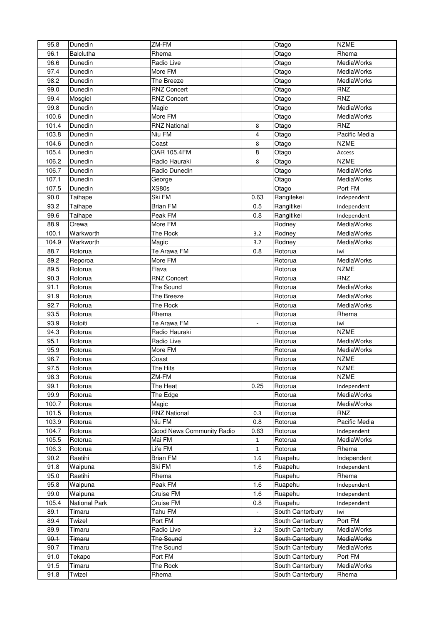| 95.8         | Dunedin           | ZM-FM                     |                          | Otago                                | <b>NZME</b>                     |
|--------------|-------------------|---------------------------|--------------------------|--------------------------------------|---------------------------------|
| 96.1         | <b>Balclutha</b>  | Rhema                     |                          | Otago                                | Rhema                           |
| 96.6         | Dunedin           | Radio Live                |                          | Otago                                | MediaWorks                      |
| 97.4         | Dunedin           | More FM                   |                          | Otago                                | <b>MediaWorks</b>               |
| 98.2         | Dunedin           | The Breeze                |                          | Otago                                | <b>MediaWorks</b>               |
| 99.0         | Dunedin           | <b>RNZ Concert</b>        |                          | Otago                                | <b>RNZ</b>                      |
| 99.4         | Mosgiel           | <b>RNZ Concert</b>        |                          | Otago                                | <b>RNZ</b>                      |
| 99.8         | Dunedin           | Magic                     |                          | Otago                                | MediaWorks                      |
| 100.6        | Dunedin           | More FM                   |                          | Otago                                | MediaWorks                      |
| 101.4        | Dunedin           | <b>RNZ National</b>       | 8                        | Otago                                | <b>RNZ</b>                      |
| 103.8        | Dunedin           | Niu FM                    | 4                        | Otago                                | Pacific Media                   |
| 104.6        | Dunedin           | Coast                     | 8                        | Otago                                | <b>NZME</b>                     |
| 105.4        | Dunedin           | OAR 105.4FM               | 8                        | Otago                                | Access                          |
| 106.2        | Dunedin           | Radio Hauraki             | 8                        | Otago                                | <b>NZME</b>                     |
| 106.7        | Dunedin           | Radio Dunedin             |                          | Otago                                | MediaWorks                      |
| 107.1        | Dunedin           | George                    |                          | Otago                                | MediaWorks                      |
| 107.5        | Dunedin           | <b>XS80s</b>              |                          | Otago                                | Port FM                         |
| 90.0         | Taihape           | Ski FM                    | 0.63                     | Rangitekei                           | Independent                     |
| 93.2         | Taihape           | <b>Brian FM</b>           | 0.5                      | Rangitikei                           | Independent                     |
| 99.6         | Taihape           | Peak FM                   | 0.8                      | Rangitikei                           | Independent                     |
| 88.9         | Orewa             | More FM                   |                          | Rodney                               | MediaWorks                      |
| 100.1        | Warkworth         | The Rock                  | 3.2                      | Rodney                               | MediaWorks                      |
| 104.9        | Warkworth         | Magic                     | 3.2                      | Rodney                               | MediaWorks                      |
| 88.7         | Rotorua           | Te Arawa FM               | 0.8                      | Rotorua                              | Iwi                             |
| 89.2         | Reporoa           | More FM                   |                          | Rotorua                              | MediaWorks                      |
| 89.5         | Rotorua           | Flava                     |                          | Rotorua                              | <b>NZME</b>                     |
| 90.3         | Rotorua           | <b>RNZ Concert</b>        |                          | Rotorua                              | <b>RNZ</b>                      |
| 91.1         | Rotorua           | The Sound                 |                          | Rotorua                              | MediaWorks                      |
| 91.9         | Rotorua           | The Breeze                |                          | Rotorua                              | <b>MediaWorks</b>               |
| 92.7         | Rotorua           | The Rock                  |                          | Rotorua                              | <b>MediaWorks</b>               |
| 93.5         | Rotorua           | Rhema                     |                          | Rotorua                              | Rhema                           |
| 93.9         | Rotoiti           | Te Arawa FM               |                          | Rotorua                              | lwi                             |
| 94.3         | Rotorua           | Radio Hauraki             |                          | Rotorua                              | <b>NZME</b>                     |
| 95.1         | Rotorua           | Radio Live                |                          | Rotorua                              | MediaWorks                      |
| 95.9         | Rotorua           | More FM                   |                          | Rotorua                              | MediaWorks                      |
| 96.7         | Rotorua           | Coast                     |                          | Rotorua                              | <b>NZME</b>                     |
| 97.5         | Rotorua           | The Hits                  |                          | Rotorua                              | <b>NZME</b>                     |
| 98.3         | Rotorua           | ZM-FM                     |                          | Rotorua                              | <b>NZME</b>                     |
| 99.1         | Rotorua           | The Heat                  | 0.25                     | Rotorua                              | Independent                     |
| 99.9         | Rotorua           | The Edge                  |                          | Rotorua                              | MediaWorks                      |
| 100.7        | Rotorua           | Magic                     |                          | Rotorua                              | MediaWorks                      |
| 101.5        | Rotorua           | <b>RNZ National</b>       | 0.3                      | Rotorua                              | <b>RNZ</b>                      |
| 103.9        | Rotorua           | Niu FM                    | 0.8                      | Rotorua                              | Pacific Media                   |
| 104.7        | Rotorua           | Good News Community Radio | 0.63                     | Rotorua                              | Independent                     |
| 105.5        | Rotorua           | Mai FM                    | 1                        | Rotorua                              | MediaWorks                      |
| 106.3        | Rotorua           | Life FM                   | $\mathbf{1}$             | Rotorua                              | Rhema                           |
| 90.2         | Raetihi           | <b>Brian FM</b>           | 1.6                      | Ruapehu                              | Independent                     |
| 91.8         | Waipuna           | Ski FM                    | 1.6                      | Ruapehu                              | Independent                     |
| 95.0         | Raetihi           | Rhema                     |                          | Ruapehu                              | Rhema                           |
| 95.8         | Waipuna           | Peak FM                   | 1.6                      | Ruapehu                              | Independent                     |
| 99.0         | Waipuna           | Cruise FM                 | 1.6                      | Ruapehu                              | Independent                     |
| 105.4        | National Park     | Cruise FM                 | 0.8                      | Ruapehu                              | Independent                     |
| 89.1         | Timaru            | Tahu FM                   | $\overline{\phantom{a}}$ | South Canterbury                     | lwi                             |
| 89.4         | Twizel            | Port FM                   |                          | South Canterbury                     | Port FM                         |
| 89.9<br>90.1 | Timaru            | Radio Live                | 3.2                      | South Canterbury                     | MediaWorks                      |
| 90.7         | <del>Timaru</del> | The Sound<br>The Sound    |                          | South Canterbury                     | <b>MediaWorks</b><br>MediaWorks |
| 91.0         | Timaru<br>Tekapo  | Port FM                   |                          | South Canterbury<br>South Canterbury | Port FM                         |
| 91.5         | Timaru            | The Rock                  |                          | South Canterbury                     | MediaWorks                      |
| 91.8         | Twizel            | Rhema                     |                          | South Canterbury                     | Rhema                           |
|              |                   |                           |                          |                                      |                                 |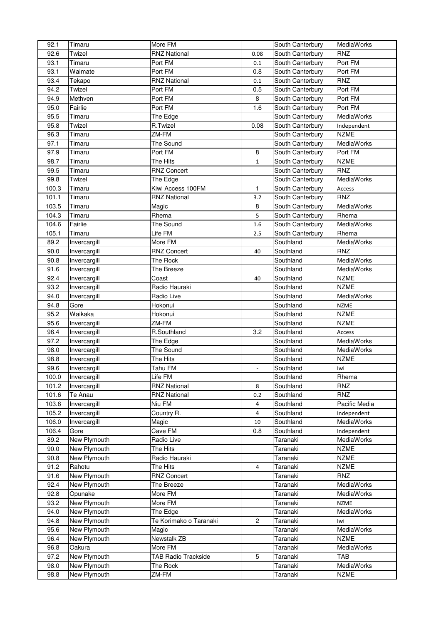| 92.1  | Timaru       | More FM                    |                         | South Canterbury | <b>MediaWorks</b> |
|-------|--------------|----------------------------|-------------------------|------------------|-------------------|
| 92.6  | Twizel       | <b>RNZ National</b>        | 0.08                    | South Canterbury | <b>RNZ</b>        |
| 93.1  | Timaru       | Port FM                    | 0.1                     | South Canterbury | Port FM           |
| 93.1  | Waimate      | Port FM                    | 0.8                     | South Canterbury | Port FM           |
| 93.4  | Tekapo       | <b>RNZ National</b>        | 0.1                     | South Canterbury | <b>RNZ</b>        |
| 94.2  | Twizel       | Port FM                    | 0.5                     | South Canterbury | Port FM           |
| 94.9  | Methven      | Port FM                    | 8                       | South Canterbury | Port FM           |
| 95.0  | Fairlie      | Port FM                    | 1.6                     | South Canterbury | Port FM           |
|       | Timaru       |                            |                         |                  |                   |
| 95.5  |              | The Edge                   |                         | South Canterbury | MediaWorks        |
| 95.8  | Twizel       | R.Twizel                   | 0.08                    | South Canterbury | Independent       |
| 96.3  | Timaru       | ZM-FM                      |                         | South Canterbury | <b>NZME</b>       |
| 97.1  | Timaru       | The Sound                  |                         | South Canterbury | MediaWorks        |
| 97.9  | Timaru       | Port FM                    | 8                       | South Canterbury | Port FM           |
| 98.7  | Timaru       | The Hits                   | $\mathbf{1}$            | South Canterbury | <b>NZME</b>       |
| 99.5  | Timaru       | <b>RNZ Concert</b>         |                         | South Canterbury | <b>RNZ</b>        |
| 99.8  | Twizel       | The Edge                   |                         | South Canterbury | MediaWorks        |
| 100.3 | Timaru       | Kiwi Access 100FM          | $\mathbf{1}$            | South Canterbury | Access            |
| 101.1 | Timaru       | <b>RNZ National</b>        | 3.2                     | South Canterbury | <b>RNZ</b>        |
| 103.5 | Timaru       | Magic                      | 8                       | South Canterbury | MediaWorks        |
| 104.3 | Timaru       | Rhema                      | 5                       | South Canterbury | Rhema             |
| 104.6 | Fairlie      | The Sound                  | 1.6                     | South Canterbury | MediaWorks        |
| 105.1 | Timaru       | Life FM                    | 2.5                     | South Canterbury | Rhema             |
| 89.2  | Invercargill | More FM                    |                         | Southland        | MediaWorks        |
| 90.0  | Invercargill | <b>RNZ Concert</b>         | 40                      | Southland        | <b>RNZ</b>        |
| 90.8  | Invercargill | The Rock                   |                         | Southland        | MediaWorks        |
| 91.6  | Invercargill | The Breeze                 |                         | Southland        | <b>MediaWorks</b> |
|       |              |                            |                         |                  |                   |
| 92.4  | Invercargill | Coast                      | 40                      | Southland        | <b>NZME</b>       |
| 93.2  | Invercargill | Radio Hauraki              |                         | Southland        | <b>NZME</b>       |
| 94.0  | Invercargill | Radio Live                 |                         | Southland        | <b>MediaWorks</b> |
| 94.8  | Gore         | Hokonui                    |                         | Southland        | <b>NZME</b>       |
| 95.2  | Waikaka      | Hokonui                    |                         | Southland        | <b>NZME</b>       |
| 95.6  | Invercargill | ZM-FM                      |                         | Southland        | <b>NZME</b>       |
| 96.4  | Invercargill | R.Southland                | 3.2                     | Southland        | Access            |
| 97.2  | Invercargill | The Edge                   |                         | Southland        | MediaWorks        |
| 98.0  | Invercargill | The Sound                  |                         | Southland        | MediaWorks        |
| 98.8  | Invercargill | The Hits                   |                         | Southland        | <b>NZME</b>       |
| 99.6  | Invercargill | Tahu FM                    | $\blacksquare$          | Southland        | Iwi               |
| 100.0 | Invercargill | Life FM                    |                         | Southland        | Rhema             |
| 101.2 | Invercargill | <b>RNZ National</b>        | $\bf 8$                 | Southland        | RNZ               |
| 101.6 | Te Anau      | <b>RNZ National</b>        | 0.2                     | Southland        | RNZ               |
| 103.6 | Invercargill | Niu FM                     | 4                       | Southland        | Pacific Media     |
| 105.2 | Invercargill | Country R.                 | 4                       | Southland        | Independent       |
| 106.0 | Invercargill | Magic                      | 10                      | Southland        | MediaWorks        |
| 106.4 | Gore         | Cave FM                    | 0.8                     | Southland        | Independent       |
| 89.2  | New Plymouth | Radio Live                 |                         | Taranaki         | MediaWorks        |
| 90.0  | New Plymouth | The Hits                   |                         | Taranaki         | <b>NZME</b>       |
|       |              |                            |                         |                  |                   |
| 90.8  | New Plymouth | Radio Hauraki              |                         | Taranaki         | <b>NZME</b>       |
| 91.2  | Rahotu       | The Hits                   | $\overline{\mathbf{4}}$ | Taranaki         | <b>NZME</b>       |
| 91.6  | New Plymouth | <b>RNZ Concert</b>         |                         | Taranaki         | <b>RNZ</b>        |
| 92.4  | New Plymouth | The Breeze                 |                         | Taranaki         | MediaWorks        |
| 92.8  | Opunake      | More FM                    |                         | Taranaki         | MediaWorks        |
| 93.2  | New Plymouth | More FM                    |                         | Taranaki         | <b>NZME</b>       |
| 94.0  | New Plymouth | The Edge                   |                         | Taranaki         | MediaWorks        |
| 94.8  | New Plymouth | Te Korimako o Taranaki     | $\overline{c}$          | Taranaki         | lwi               |
| 95.6  | New Plymouth | Magic                      |                         | Taranaki         | MediaWorks        |
| 96.4  | New Plymouth | Newstalk ZB                |                         | Taranaki         | <b>NZME</b>       |
| 96.8  | Oakura       | More FM                    |                         | Taranaki         | MediaWorks        |
| 97.2  | New Plymouth | <b>TAB Radio Trackside</b> | 5                       | Taranaki         | <b>TAB</b>        |
| 98.0  | New Plymouth | The Rock                   |                         | Taranaki         | MediaWorks        |
| 98.8  | New Plymouth | ZM-FM                      |                         | Taranaki         | <b>NZME</b>       |
|       |              |                            |                         |                  |                   |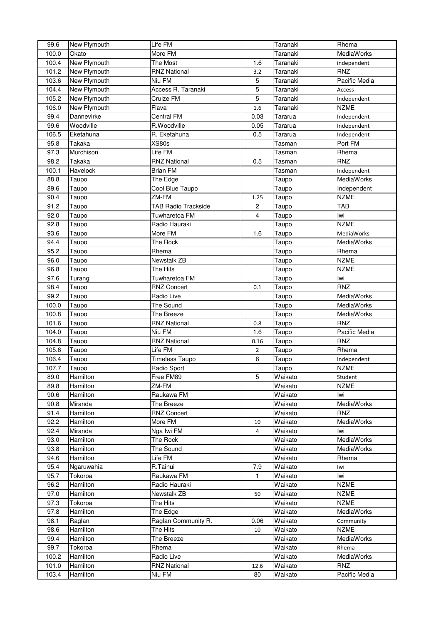| 99.6  | New Plymouth | Life FM                    |                         | Taranaki | Rhema             |
|-------|--------------|----------------------------|-------------------------|----------|-------------------|
| 100.0 | Okato        | More FM                    |                         | Taranaki | MediaWorks        |
| 100.4 | New Plymouth | The Most                   | 1.6                     | Taranaki | independent       |
| 101.2 | New Plymouth | <b>RNZ National</b>        | 3.2                     | Taranaki | <b>RNZ</b>        |
| 103.6 | New Plymouth | Niu FM                     | 5                       | Taranaki | Pacific Media     |
| 104.4 | New Plymouth | Access R. Taranaki         | 5                       | Taranaki | Access            |
| 105.2 | New Plymouth | Cruize FM                  | 5                       | Taranaki | Independent       |
| 106.0 | New Plymouth | Flava                      | 1.6                     | Taranaki | <b>NZME</b>       |
| 99.4  | Dannevirke   | Central FM                 | 0.03                    | Tararua  | Independent       |
| 99.6  | Woodville    | R.Woodville                | 0.05                    | Tararua  | Independent       |
| 106.5 | Eketahuna    | R. Eketahuna               | 0.5                     | Tararua  | Independent       |
| 95.8  | Takaka       | <b>XS80s</b>               |                         | Tasman   | Port FM           |
| 97.3  | Murchison    | Life FM                    |                         | Tasman   | Rhema             |
| 98.2  | Takaka       | <b>RNZ National</b>        | 0.5                     | Tasman   | <b>RNZ</b>        |
|       |              |                            |                         |          |                   |
| 100.1 | Havelock     | <b>Brian FM</b>            |                         | Tasman   | Independent       |
| 88.8  | Taupo        | The Edge                   |                         | Taupo    | MediaWorks        |
| 89.6  | Taupo        | Cool Blue Taupo            |                         | Taupo    | Independent       |
| 90.4  | Taupo        | ZM-FM                      | 1.25                    | Taupo    | <b>NZME</b>       |
| 91.2  | Taupo        | <b>TAB Radio Trackside</b> | $\overline{c}$          | Taupo    | <b>TAB</b>        |
| 92.0  | Taupo        | Tuwharetoa FM              | $\overline{\mathbf{4}}$ | Taupo    | Iwi               |
| 92.8  | Taupo        | Radio Hauraki              |                         | Taupo    | <b>NZME</b>       |
| 93.6  | Taupo        | More FM                    | 1.6                     | Taupo    | <b>MediaWorks</b> |
| 94.4  | Taupo        | The Rock                   |                         | Taupo    | MediaWorks        |
| 95.2  | Taupo        | Rhema                      |                         | Taupo    | Rhema             |
| 96.0  | Taupo        | Newstalk ZB                |                         | Taupo    | <b>NZME</b>       |
| 96.8  | Taupo        | The Hits                   |                         | Taupo    | <b>NZME</b>       |
| 97.6  | Turangi      | Tuwharetoa FM              |                         | Taupo    | lwi               |
| 98.4  | Taupo        | <b>RNZ Concert</b>         | 0.1                     | Taupo    | <b>RNZ</b>        |
| 99.2  | Taupo        | Radio Live                 |                         | Taupo    | MediaWorks        |
| 100.0 | Taupo        | The Sound                  |                         | Taupo    | <b>MediaWorks</b> |
| 100.8 | Taupo        | The Breeze                 |                         | Taupo    | MediaWorks        |
| 101.6 | Taupo        | <b>RNZ National</b>        | 0.8                     | Taupo    | RNZ               |
| 104.0 | Taupo        | Niu FM                     | 1.6                     | Taupo    | Pacific Media     |
| 104.8 | Taupo        | <b>RNZ National</b>        | 0.16                    | Taupo    | RNZ               |
| 105.6 | Taupo        | Life FM                    | $\overline{2}$          | Taupo    | Rhema             |
| 106.4 | Taupo        | <b>Timeless Taupo</b>      | 6                       | Taupo    | Independent       |
| 107.7 | Taupo        | Radio Sport                |                         | Taupo    | <b>NZME</b>       |
| 89.0  | Hamilton     | Free FM89                  | 5                       | Waikato  | Student           |
| 89.8  | Hamilton     | ZM-FM                      |                         | Waikato  | <b>NZME</b>       |
| 90.6  | Hamilton     | Raukawa FM                 |                         | Waikato  | Iwi               |
| 90.8  | Miranda      | The Breeze                 |                         | Waikato  | MediaWorks        |
| 91.4  | Hamilton     | <b>RNZ Concert</b>         |                         |          | <b>RNZ</b>        |
| 92.2  | Hamilton     | More FM                    |                         | Waikato  | MediaWorks        |
| 92.4  | Miranda      | Nga Iwi FM                 | 10                      | Waikato  | lwi               |
|       |              |                            | 4                       | Waikato  |                   |
| 93.0  | Hamilton     | The Rock                   |                         | Waikato  | MediaWorks        |
| 93.8  | Hamilton     | The Sound                  |                         | Waikato  | <b>MediaWorks</b> |
| 94.6  | Hamilton     | Life FM                    |                         | Waikato  | Rhema             |
| 95.4  | Ngaruwahia   | R.Tainui                   | 7.9                     | Waikato  | lwi               |
| 95.7  | Tokoroa      | Raukawa FM                 | 1                       | Waikato  | lwi               |
| 96.2  | Hamilton     | Radio Hauraki              |                         | Waikato  | <b>NZME</b>       |
| 97.0  | Hamilton     | Newstalk ZB                | 50                      | Waikato  | <b>NZME</b>       |
| 97.3  | Tokoroa      | The Hits                   |                         | Waikato  | <b>NZME</b>       |
| 97.8  | Hamilton     | The Edge                   |                         | Waikato  | MediaWorks        |
| 98.1  | Raglan       | Raglan Community R.        | 0.06                    | Waikato  | Community         |
| 98.6  | Hamilton     | The Hits                   | 10                      | Waikato  | <b>NZME</b>       |
| 99.4  | Hamilton     | The Breeze                 |                         | Waikato  | MediaWorks        |
| 99.7  | Tokoroa      | Rhema                      |                         | Waikato  | Rhema             |
| 100.2 | Hamilton     | Radio Live                 |                         | Waikato  | MediaWorks        |
| 101.0 | Hamilton     | <b>RNZ National</b>        | 12.6                    | Waikato  | <b>RNZ</b>        |
| 103.4 | Hamilton     | Niu FM                     | 80                      | Waikato  | Pacific Media     |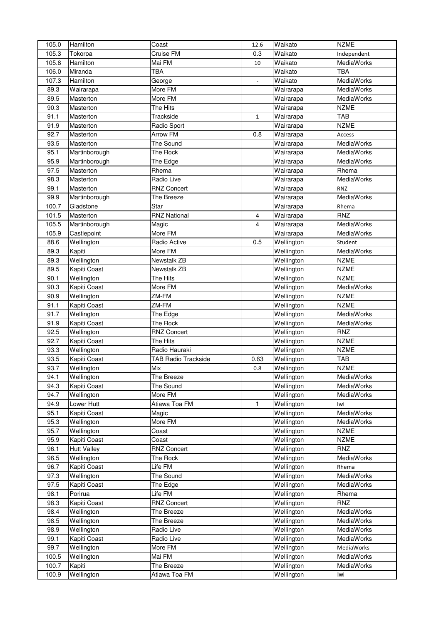| 105.0 | Hamilton                 | Coast               | 12.6                     | Waikato                          | <b>NZME</b>         |
|-------|--------------------------|---------------------|--------------------------|----------------------------------|---------------------|
| 105.3 | Tokoroa                  | Cruise FM           | 0.3                      | Waikato                          | Independent         |
| 105.8 | Hamilton                 | Mai FM              | 10                       | Waikato                          | MediaWorks          |
| 106.0 | Miranda                  | TBA                 |                          | Waikato                          | <b>TBA</b>          |
| 107.3 | Hamilton                 | George              | $\overline{\phantom{0}}$ | Waikato                          | MediaWorks          |
| 89.3  | Wairarapa                | More FM             |                          | Wairarapa                        | MediaWorks          |
| 89.5  | Masterton                | More FM             |                          | Wairarapa                        | MediaWorks          |
| 90.3  | Masterton                | The Hits            |                          | Wairarapa                        | <b>NZME</b>         |
| 91.1  | Masterton                | Trackside           | $\mathbf{1}$             | Wairarapa                        | <b>TAB</b>          |
| 91.9  | Masterton                | Radio Sport         |                          | Wairarapa                        | <b>NZME</b>         |
| 92.7  | Masterton                | <b>Arrow FM</b>     | 0.8                      | $\overline{\mathsf{W}}$ airarapa | <b>Access</b>       |
| 93.5  | Masterton                | The Sound           |                          | Wairarapa                        | MediaWorks          |
| 95.1  | Martinborough            | The Rock            |                          | Wairarapa                        | MediaWorks          |
| 95.9  | Martinborough            | The Edge            |                          | Wairarapa                        | MediaWorks          |
| 97.5  | Masterton                | Rhema               |                          | Wairarapa                        | Rhema               |
| 98.3  | Masterton                | Radio Live          |                          | Wairarapa                        | MediaWorks          |
| 99.1  | Masterton                | <b>RNZ Concert</b>  |                          | Wairarapa                        | <b>RNZ</b>          |
| 99.9  | Martinborough            | The Breeze          |                          | Wairarapa                        | MediaWorks          |
| 100.7 | Gladstone                | Star                |                          | Wairarapa                        |                     |
| 101.5 |                          | <b>RNZ National</b> |                          |                                  | Rhema<br><b>RNZ</b> |
|       | Masterton                |                     | $\overline{4}$           | Wairarapa                        |                     |
| 105.5 | Martinborough            | Magic               | 4                        | Wairarapa                        | MediaWorks          |
| 105.9 | Castlepoint              | More FM             |                          | Wairarapa                        | MediaWorks          |
| 88.6  | Wellington               | Radio Active        | 0.5                      | Wellington                       | Student             |
| 89.3  | Kapiti                   | More FM             |                          | Wellington                       | <b>MediaWorks</b>   |
| 89.3  | Wellington               | Newstalk ZB         |                          | Wellington                       | <b>NZME</b>         |
| 89.5  | Kapiti Coast             | Newstalk ZB         |                          | Wellington                       | <b>NZME</b>         |
| 90.1  | Wellington               | The Hits            |                          | Wellington                       | <b>NZME</b>         |
| 90.3  | Kapiti Coast             | More FM             |                          | Wellington                       | MediaWorks          |
| 90.9  | Wellington               | ZM-FM               |                          | Wellington                       | <b>NZME</b>         |
| 91.1  | Kapiti Coast             | ZM-FM               |                          | Wellington                       | <b>NZME</b>         |
| 91.7  | Wellington               | The Edge            |                          | Wellington                       | MediaWorks          |
| 91.9  | Kapiti Coast             | The Rock            |                          | Wellington                       | MediaWorks          |
| 92.5  | Wellington               | <b>RNZ Concert</b>  |                          | Wellington                       | RNZ                 |
| 92.7  | <b>Kapiti Coast</b>      | The Hits            |                          | Wellington                       | <b>NZME</b>         |
| 93.3  | Wellington               | Radio Hauraki       |                          | Wellington                       | <b>NZME</b>         |
| 93.5  | Kapiti Coast             | TAB Radio Trackside | 0.63                     | Wellington                       | <b>TAB</b>          |
| 93.7  | $\overline{W}$ ellington | Mix                 | 0.8                      | Wellington                       | <b>NZME</b>         |
| 94.1  | Wellington               | The Breeze          |                          | Wellington                       | MediaWorks          |
| 94.3  | Kapiti Coast             | The Sound           |                          | Wellington                       | MediaWorks          |
| 94.7  | Wellington               | More FM             |                          | Wellington                       | MediaWorks          |
| 94.9  | Lower Hutt               | Atiawa Toa FM       | $\mathbf{1}$             | Wellington                       | lwi                 |
| 95.1  | Kapiti Coast             | Magic               |                          | Wellington                       | MediaWorks          |
| 95.3  | Wellington               | More FM             |                          | Wellington                       | MediaWorks          |
| 95.7  | Wellington               | Coast               |                          | Wellington                       | <b>NZME</b>         |
| 95.9  | Kapiti Coast             | Coast               |                          | Wellington                       | <b>NZME</b>         |
| 96.1  | <b>Hutt Valley</b>       | <b>RNZ Concert</b>  |                          | Wellington                       | <b>RNZ</b>          |
| 96.5  | Wellington               | The Rock            |                          | Wellington                       | MediaWorks          |
| 96.7  | Kapiti Coast             | Life FM             |                          | Wellington                       | Rhema               |
| 97.3  | Wellington               | The Sound           |                          | Wellington                       | MediaWorks          |
| 97.5  | Kapiti Coast             | The Edge            |                          | Wellington                       | MediaWorks          |
| 98.1  | Porirua                  | Life FM             |                          | Wellington                       | Rhema               |
| 98.3  | Kapiti Coast             | RNZ Concert         |                          | Wellington                       | <b>RNZ</b>          |
| 98.4  | Wellington               | The Breeze          |                          | Wellington                       | MediaWorks          |
| 98.5  | Wellington               | The Breeze          |                          | Wellington                       | MediaWorks          |
| 98.9  | Wellington               | Radio Live          |                          | Wellington                       | MediaWorks          |
| 99.1  | Kapiti Coast             | Radio Live          |                          | Wellington                       | MediaWorks          |
| 99.7  | Wellington               | More FM             |                          | Wellington                       | MediaWorks          |
| 100.5 | Wellington               | Mai FM              |                          | Wellington                       | MediaWorks          |
| 100.7 | Kapiti                   | The Breeze          |                          | Wellington                       | MediaWorks          |
| 100.9 | Wellington               | Atiawa Toa FM       |                          | Wellington                       | Iwi                 |
|       |                          |                     |                          |                                  |                     |